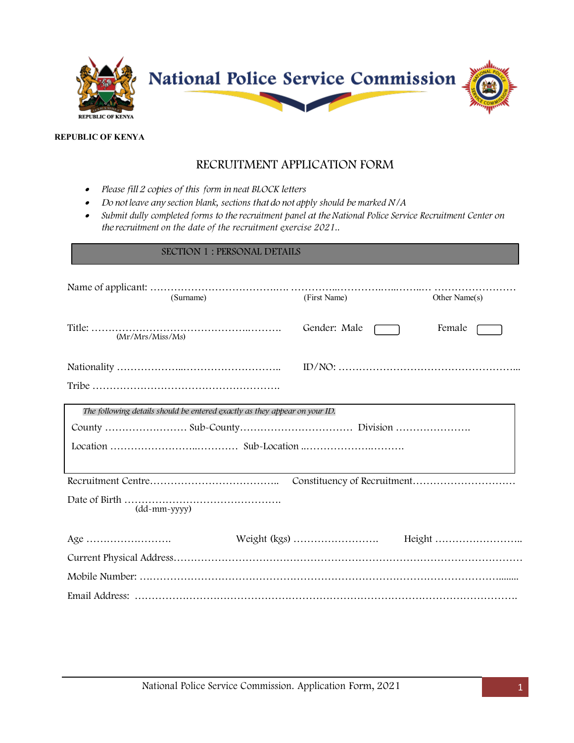

#### **REPUBLIC OF KENYA**

# RECRUITMENT APPLICATION FORM

- • *Please fill 2 copies of this form in neat BLOCK letters*
- • *Do not leave any section blank, sections that do not apply should be marked N/A*
- *Submit dully completed forms to the recruitment panel at theNational Police Service Recruitment Center on the recruitment on the date of the recruitment exercise 2021..*

### SECTION 1 : PERSONAL DETAILS

| (Surname)                                                                  | (First Name) | Other Name(s) |
|----------------------------------------------------------------------------|--------------|---------------|
| (Mr/Mrs/Miss/Ms)                                                           | Gender: Male | Female        |
|                                                                            |              |               |
|                                                                            |              |               |
| The following details should be entered exactly as they appear on your ID. |              |               |
|                                                                            |              |               |
|                                                                            |              |               |
|                                                                            |              |               |
| $(dd{\text{-}}mm{\text{-}}yyyy)$                                           |              |               |
| Age $\dots\dots\dots\dots\dots\dots\dots\dots\dots$                        |              |               |
|                                                                            |              |               |
|                                                                            |              |               |
|                                                                            |              |               |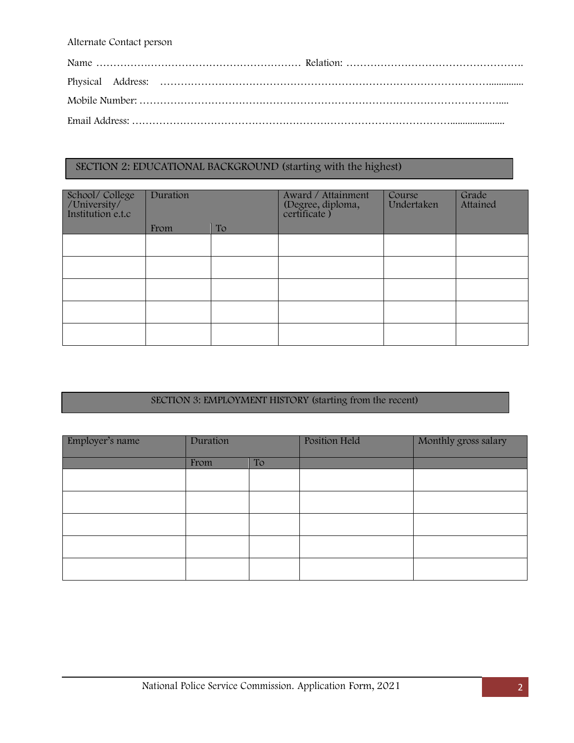Alternate Contact person

## SECTION 2: EDUCATIONAL BACKGROUND (starting with the highest)

| School/College<br>/University/<br>Institution e.t.c | Duration |    | Award / Attainment<br>(Degree, diploma,<br>certificate) | Course<br>Undertaken | Grade<br>Attained |
|-----------------------------------------------------|----------|----|---------------------------------------------------------|----------------------|-------------------|
|                                                     | From     | To |                                                         |                      |                   |
|                                                     |          |    |                                                         |                      |                   |
|                                                     |          |    |                                                         |                      |                   |
|                                                     |          |    |                                                         |                      |                   |
|                                                     |          |    |                                                         |                      |                   |
|                                                     |          |    |                                                         |                      |                   |

# SECTION 3: EMPLOYMENT HISTORY (starting from the recent)

| Employer's name | Duration |    | Position Held | Monthly gross salary |  |
|-----------------|----------|----|---------------|----------------------|--|
|                 | From     | To |               |                      |  |
|                 |          |    |               |                      |  |
|                 |          |    |               |                      |  |
|                 |          |    |               |                      |  |
|                 |          |    |               |                      |  |
|                 |          |    |               |                      |  |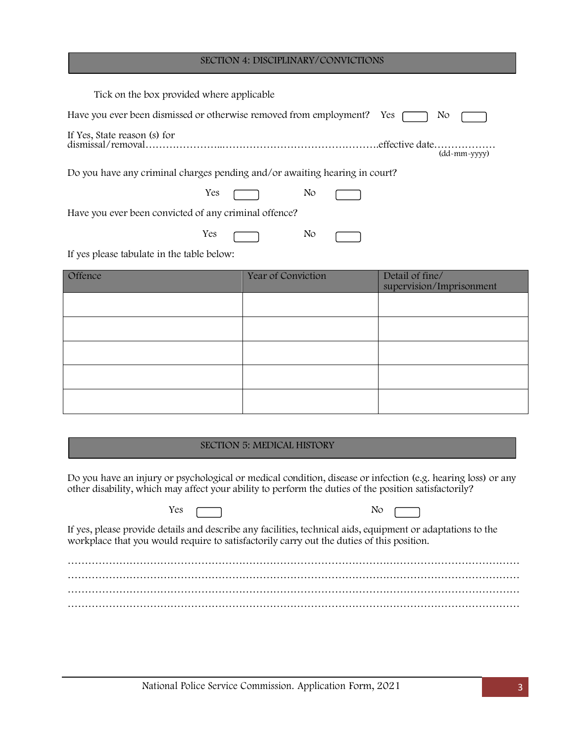#### SECTION 4: DISCIPLINARY/CONVICTIONS

| Tick on the box provided where applicable.                                 |                                                                                        |  |  |  |  |  |  |
|----------------------------------------------------------------------------|----------------------------------------------------------------------------------------|--|--|--|--|--|--|
|                                                                            | Have you ever been dismissed or otherwise removed from employment?<br><b>Yes</b><br>N0 |  |  |  |  |  |  |
|                                                                            | (dd-mm-yyyy)                                                                           |  |  |  |  |  |  |
| Do you have any criminal charges pending and/or awaiting hearing in court? |                                                                                        |  |  |  |  |  |  |
| Yes                                                                        | No.                                                                                    |  |  |  |  |  |  |
| Have you ever been convicted of any criminal offence?                      |                                                                                        |  |  |  |  |  |  |
| Yes                                                                        | No.                                                                                    |  |  |  |  |  |  |
| If yes please tabulate in the table below:                                 |                                                                                        |  |  |  |  |  |  |

| Offence | Year of Conviction | Detail of fine/<br>supervision/Imprisonment |
|---------|--------------------|---------------------------------------------|
|         |                    |                                             |
|         |                    |                                             |
|         |                    |                                             |
|         |                    |                                             |
|         |                    |                                             |

#### SECTION 5: MEDICAL HISTORY

Do you have an injury or psychological or medical condition, disease or infection (e.g. hearing loss) or any other disability, which may affect your ability to perform the duties of the position satisfactorily?

Yes <u>nearly</u> No

If yes, please provide details and describe any facilities, technical aids, equipment or adaptations to the workplace that you would require to satisfactorily carry out the duties of this position.

…………………………………………………………………………………………………………………… …………………………………………………………………………………………………………………… …………………………………………………………………………………………………………………… ……………………………………………………………………………………………………………………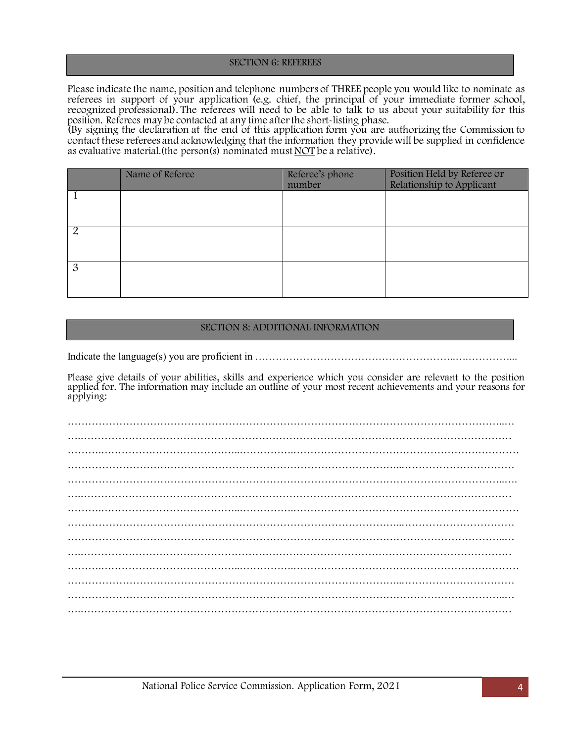#### SECTION 6: REFEREES

Please indicate the name, position and telephone numbers of THREE people you would like to nominate as referees in support of your application (e.g. chief, the principal of your immediate former school, recognized professional). The referees will need to be able to talk to us about your suitability for this position. Referees may be contacted at any time after the short-listing phase.<br>(By signing the declaration at the end of this application form you are authorizing the Commission to

contact these referees and acknowledging that the information they providewill be supplied in confidence as evaluative material.(the person(s) nominated mustNOT be a relative).

|                | Name of Referee | Referee's phone<br>number | Position Held by Referee or<br>Relationship to Applicant |
|----------------|-----------------|---------------------------|----------------------------------------------------------|
|                |                 |                           |                                                          |
| $\overline{2}$ |                 |                           |                                                          |
| 3              |                 |                           |                                                          |

## SECTION 8: ADDITIONAL INFORMATION

Indicate the language(s) you are proficient in ………………………………………………………………………………………

Please give details of your abilities, skills and experience which you consider are relevant to the position applied for. The information may include an outline of your most recent achievements and your reasons for applying: